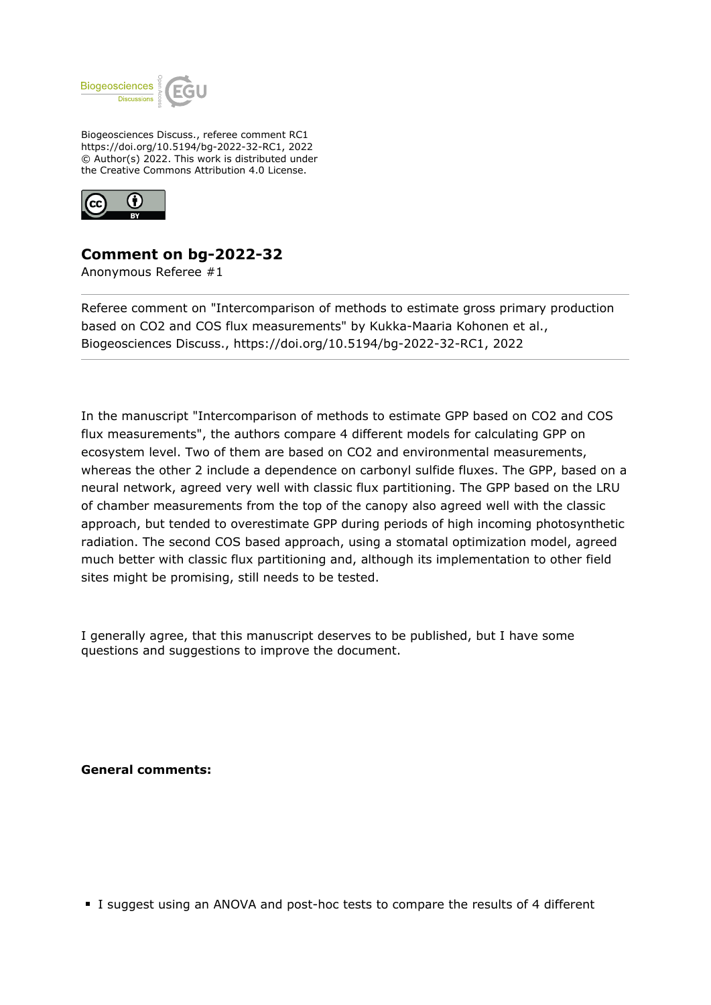

Biogeosciences Discuss., referee comment RC1 https://doi.org/10.5194/bg-2022-32-RC1, 2022 © Author(s) 2022. This work is distributed under the Creative Commons Attribution 4.0 License.



## **Comment on bg-2022-32**

Anonymous Referee #1

Referee comment on "Intercomparison of methods to estimate gross primary production based on CO2 and COS flux measurements" by Kukka-Maaria Kohonen et al., Biogeosciences Discuss., https://doi.org/10.5194/bg-2022-32-RC1, 2022

In the manuscript "Intercomparison of methods to estimate GPP based on CO2 and COS flux measurements", the authors compare 4 different models for calculating GPP on ecosystem level. Two of them are based on CO2 and environmental measurements, whereas the other 2 include a dependence on carbonyl sulfide fluxes. The GPP, based on a neural network, agreed very well with classic flux partitioning. The GPP based on the LRU of chamber measurements from the top of the canopy also agreed well with the classic approach, but tended to overestimate GPP during periods of high incoming photosynthetic radiation. The second COS based approach, using a stomatal optimization model, agreed much better with classic flux partitioning and, although its implementation to other field sites might be promising, still needs to be tested.

I generally agree, that this manuscript deserves to be published, but I have some questions and suggestions to improve the document.

**General comments:**

I suggest using an ANOVA and post-hoc tests to compare the results of 4 different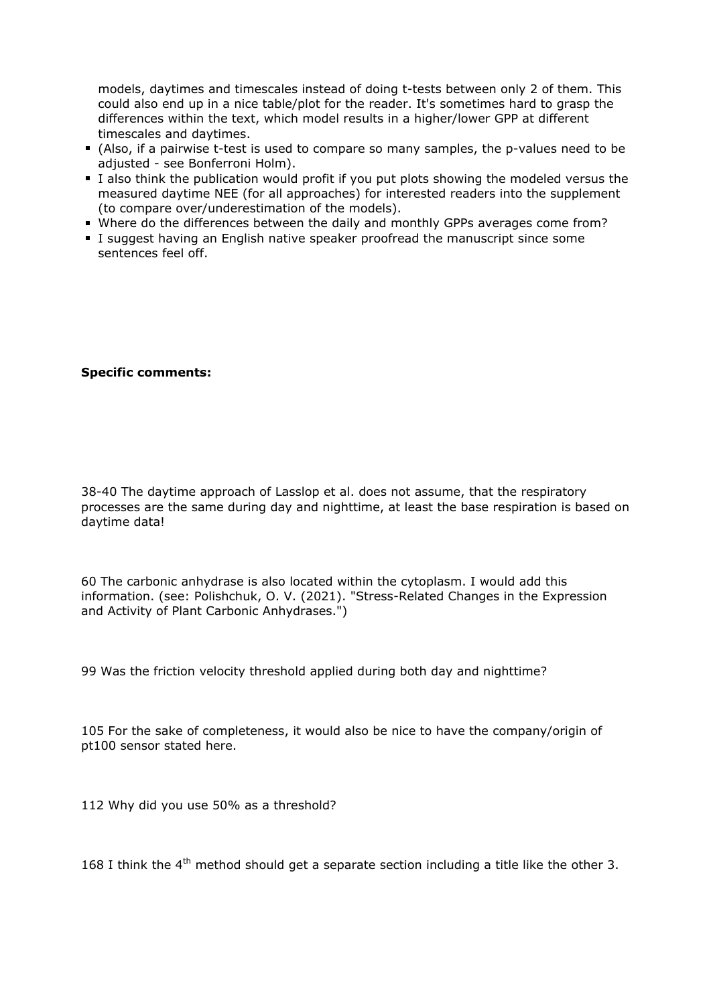models, daytimes and timescales instead of doing t-tests between only 2 of them. This could also end up in a nice table/plot for the reader. It's sometimes hard to grasp the differences within the text, which model results in a higher/lower GPP at different timescales and daytimes.

- (Also, if a pairwise t-test is used to compare so many samples, the p-values need to be adjusted - see Bonferroni Holm).
- I also think the publication would profit if you put plots showing the modeled versus the measured daytime NEE (for all approaches) for interested readers into the supplement (to compare over/underestimation of the models).
- Where do the differences between the daily and monthly GPPs averages come from?
- I suggest having an English native speaker proofread the manuscript since some sentences feel off.

## **Specific comments:**

38-40 The daytime approach of Lasslop et al. does not assume, that the respiratory processes are the same during day and nighttime, at least the base respiration is based on daytime data!

60 The carbonic anhydrase is also located within the cytoplasm. I would add this information. (see: Polishchuk, O. V. (2021). "Stress-Related Changes in the Expression and Activity of Plant Carbonic Anhydrases.")

99 Was the friction velocity threshold applied during both day and nighttime?

105 For the sake of completeness, it would also be nice to have the company/origin of pt100 sensor stated here.

112 Why did you use 50% as a threshold?

168 I think the  $4<sup>th</sup>$  method should get a separate section including a title like the other 3.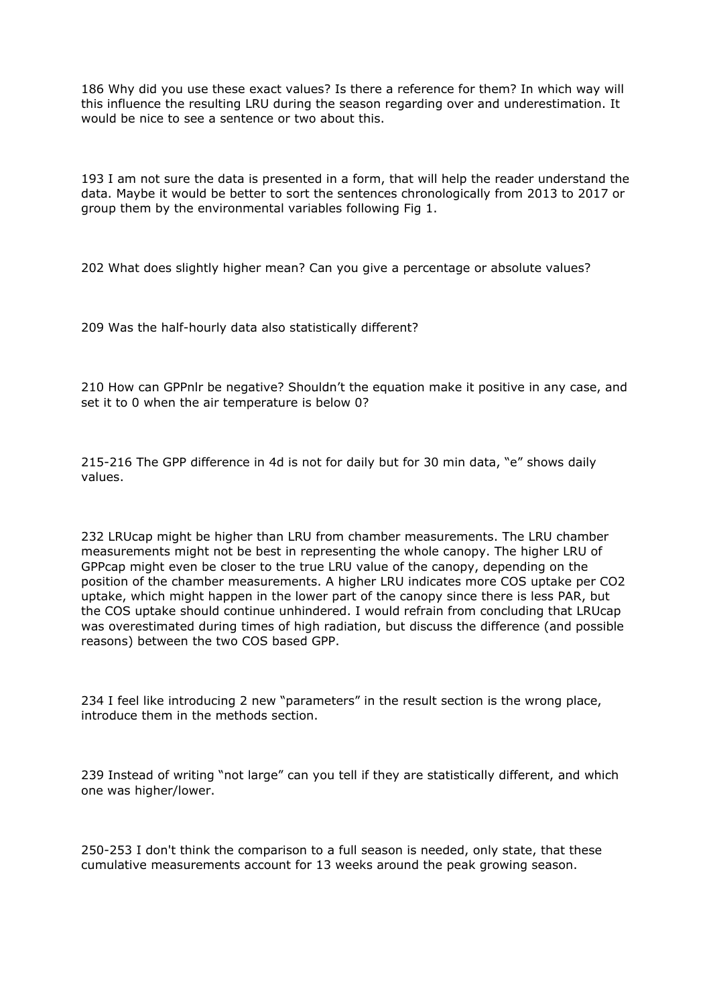186 Why did you use these exact values? Is there a reference for them? In which way will this influence the resulting LRU during the season regarding over and underestimation. It would be nice to see a sentence or two about this.

193 I am not sure the data is presented in a form, that will help the reader understand the data. Maybe it would be better to sort the sentences chronologically from 2013 to 2017 or group them by the environmental variables following Fig 1.

202 What does slightly higher mean? Can you give a percentage or absolute values?

209 Was the half-hourly data also statistically different?

210 How can GPPnlr be negative? Shouldn't the equation make it positive in any case, and set it to 0 when the air temperature is below 0?

215-216 The GPP difference in 4d is not for daily but for 30 min data, "e" shows daily values.

232 LRUcap might be higher than LRU from chamber measurements. The LRU chamber measurements might not be best in representing the whole canopy. The higher LRU of GPPcap might even be closer to the true LRU value of the canopy, depending on the position of the chamber measurements. A higher LRU indicates more COS uptake per CO2 uptake, which might happen in the lower part of the canopy since there is less PAR, but the COS uptake should continue unhindered. I would refrain from concluding that LRUcap was overestimated during times of high radiation, but discuss the difference (and possible reasons) between the two COS based GPP.

234 I feel like introducing 2 new "parameters" in the result section is the wrong place, introduce them in the methods section.

239 Instead of writing "not large" can you tell if they are statistically different, and which one was higher/lower.

250-253 I don't think the comparison to a full season is needed, only state, that these cumulative measurements account for 13 weeks around the peak growing season.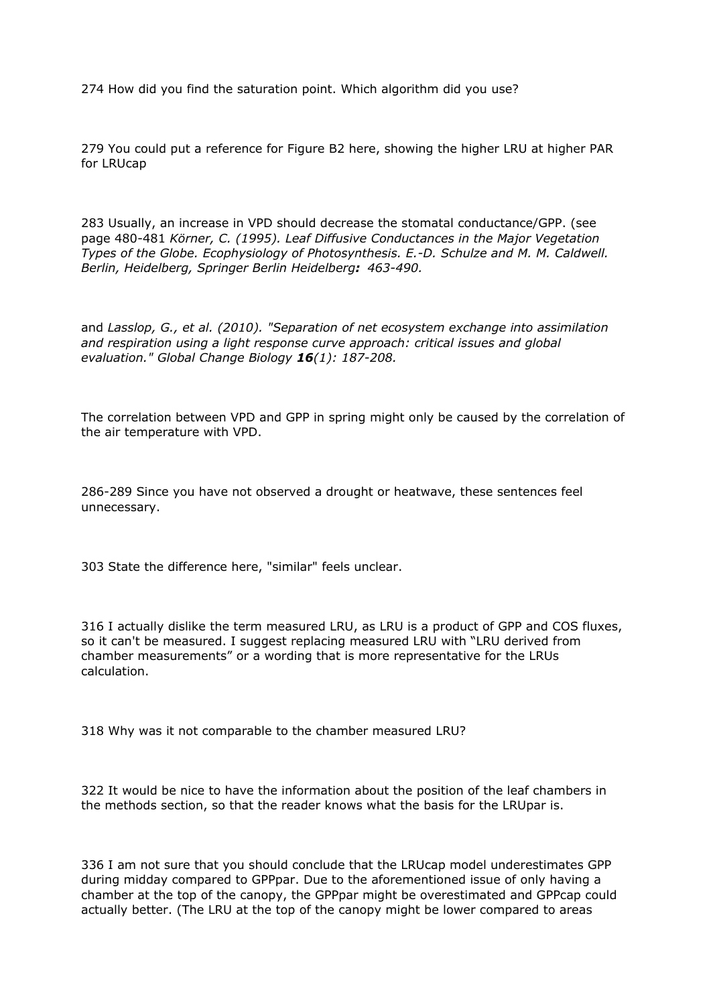274 How did you find the saturation point. Which algorithm did you use?

279 You could put a reference for Figure B2 here, showing the higher LRU at higher PAR for LRUcap

283 Usually, an increase in VPD should decrease the stomatal conductance/GPP. (see page 480-481 *Körner, C. (1995). Leaf Diffusive Conductances in the Major Vegetation Types of the Globe. Ecophysiology of Photosynthesis. E.-D. Schulze and M. M. Caldwell. Berlin, Heidelberg, Springer Berlin Heidelberg: 463-490.*

and *Lasslop, G., et al. (2010). "Separation of net ecosystem exchange into assimilation and respiration using a light response curve approach: critical issues and global evaluation." Global Change Biology 16(1): 187-208.*

The correlation between VPD and GPP in spring might only be caused by the correlation of the air temperature with VPD.

286-289 Since you have not observed a drought or heatwave, these sentences feel unnecessary.

303 State the difference here, "similar" feels unclear.

316 I actually dislike the term measured LRU, as LRU is a product of GPP and COS fluxes, so it can't be measured. I suggest replacing measured LRU with "LRU derived from chamber measurements" or a wording that is more representative for the LRUs calculation.

318 Why was it not comparable to the chamber measured LRU?

322 It would be nice to have the information about the position of the leaf chambers in the methods section, so that the reader knows what the basis for the LRUpar is.

336 I am not sure that you should conclude that the LRUcap model underestimates GPP during midday compared to GPPpar. Due to the aforementioned issue of only having a chamber at the top of the canopy, the GPPpar might be overestimated and GPPcap could actually better. (The LRU at the top of the canopy might be lower compared to areas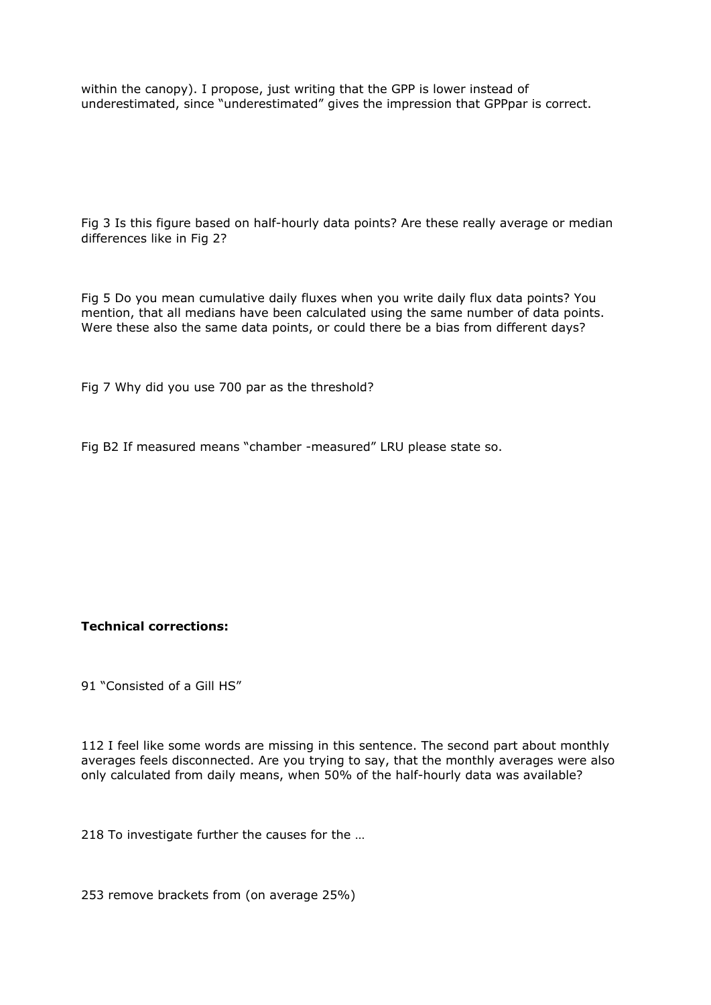within the canopy). I propose, just writing that the GPP is lower instead of underestimated, since "underestimated" gives the impression that GPPpar is correct.

Fig 3 Is this figure based on half-hourly data points? Are these really average or median differences like in Fig 2?

Fig 5 Do you mean cumulative daily fluxes when you write daily flux data points? You mention, that all medians have been calculated using the same number of data points. Were these also the same data points, or could there be a bias from different days?

Fig 7 Why did you use 700 par as the threshold?

Fig B2 If measured means "chamber -measured" LRU please state so.

## **Technical corrections:**

91 "Consisted of a Gill HS"

112 I feel like some words are missing in this sentence. The second part about monthly averages feels disconnected. Are you trying to say, that the monthly averages were also only calculated from daily means, when 50% of the half-hourly data was available?

218 To investigate further the causes for the …

253 remove brackets from (on average 25%)